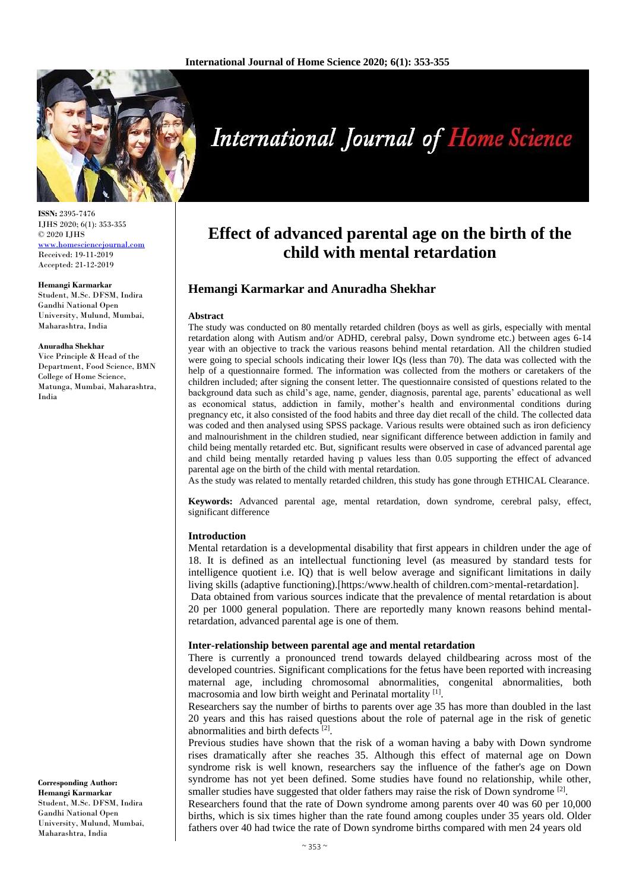

**ISSN:** 2395-7476 IJHS 2020; 6(1): 353-355 © 2020 IJHS <www.homesciencejournal.com> Received: 19-11-2019 Accepted: 21-12-2019

#### **Hemangi Karmarkar**

Student, M.Sc. DFSM, Indira Gandhi National Open University, Mulund, Mumbai, Maharashtra, India

#### **Anuradha Shekhar**

Vice Principle & Head of the Department, Food Science, BMN College of Home Science, Matunga, Mumbai, Maharashtra, India

#### **Corresponding Author: Hemangi Karmarkar** Student, M.Sc. DFSM, Indira Gandhi National Open University, Mulund, Mumbai, Maharashtra, India

# **International Journal of Home Science**

# **Effect of advanced parental age on the birth of the child with mental retardation**

# **Hemangi Karmarkar and Anuradha Shekhar**

#### **Abstract**

The study was conducted on 80 mentally retarded children (boys as well as girls, especially with mental retardation along with Autism and/or ADHD, cerebral palsy, Down syndrome etc.) between ages 6-14 year with an objective to track the various reasons behind mental retardation. All the children studied were going to special schools indicating their lower IQs (less than 70). The data was collected with the help of a questionnaire formed. The information was collected from the mothers or caretakers of the children included; after signing the consent letter. The questionnaire consisted of questions related to the background data such as child's age, name, gender, diagnosis, parental age, parents' educational as well as economical status, addiction in family, mother's health and environmental conditions during pregnancy etc, it also consisted of the food habits and three day diet recall of the child. The collected data was coded and then analysed using SPSS package. Various results were obtained such as iron deficiency and malnourishment in the children studied, near significant difference between addiction in family and child being mentally retarded etc. But, significant results were observed in case of advanced parental age and child being mentally retarded having p values less than 0.05 supporting the effect of advanced parental age on the birth of the child with mental retardation.

As the study was related to mentally retarded children, this study has gone through ETHICAL Clearance.

**Keywords:** Advanced parental age, mental retardation, down syndrome, cerebral palsy, effect, significant difference

#### **Introduction**

Mental retardation is a developmental disability that first appears in children under the age of 18. It is defined as an intellectual functioning level (as measured by standard tests for intelligence quotient i.e. IQ) that is well below average and significant limitations in daily living skills (adaptive functioning).[https:/www.health of children.com>mental-retardation].

Data obtained from various sources indicate that the prevalence of mental retardation is about 20 per 1000 general population. There are reportedly many known reasons behind mentalretardation, advanced parental age is one of them.

#### **Inter-relationship between parental age and mental retardation**

There is currently a pronounced trend towards delayed childbearing across most of the developed countries. Significant complications for the fetus have been reported with increasing maternal age, including chromosomal abnormalities, congenital abnormalities, both macrosomia and low birth weight and Perinatal mortality<sup>[1]</sup>.

Researchers say the number of births to parents over age 35 has more than doubled in the last 20 years and this has raised questions about the role of paternal age in the risk of genetic abnormalities and birth defects<sup>[2]</sup>.

Previous studies have shown that the risk of a woman having a baby with Down syndrome rises dramatically after she reaches 35. Although this effect of maternal age on Down syndrome risk is well known, researchers say the influence of the father's age on Down syndrome has not yet been defined. Some studies have found no relationship, while other, smaller studies have suggested that older fathers may raise the risk of Down syndrome<sup>[2]</sup>.

Researchers found that the rate of Down syndrome among parents over 40 was 60 per 10,000 births, which is six times higher than the rate found among couples under 35 years old. Older fathers over 40 had twice the rate of Down syndrome births compared with men 24 years old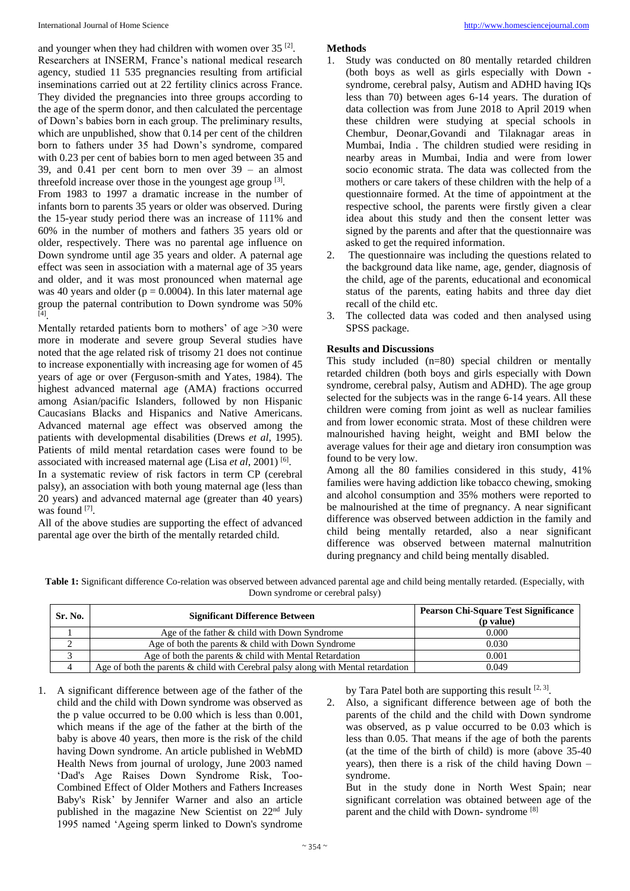and younger when they had children with women over  $35^{[2]}$ . Researchers at INSERM, France's national medical research agency, studied 11 535 pregnancies resulting from artificial inseminations carried out at 22 fertility clinics across France. They divided the pregnancies into three groups according to the age of the sperm donor, and then calculated the percentage of Down's babies born in each group. The preliminary results, which are unpublished, show that 0.14 per cent of the children born to fathers under 35 had Down's syndrome, compared with 0.23 per cent of babies born to men aged between 35 and 39, and 0.41 per cent born to men over 39 – an almost threefold increase over those in the youngest age group  $[3]$ .

From 1983 to 1997 a dramatic increase in the number of infants born to parents 35 years or older was observed. During the 15-year study period there was an increase of 111% and 60% in the number of mothers and fathers 35 years old or older, respectively. There was no parental age influence on Down syndrome until age 35 years and older. A paternal age effect was seen in association with a maternal age of 35 years and older, and it was most pronounced when maternal age was 40 years and older ( $p = 0.0004$ ). In this later maternal age group the paternal contribution to Down syndrome was 50% [4] .

Mentally retarded patients born to mothers' of age >30 were more in moderate and severe group Several studies have noted that the age related risk of trisomy 21 does not continue to increase exponentially with increasing age for women of 45 years of age or over (Ferguson-smith and Yates, 1984). The highest advanced maternal age (AMA) fractions occurred among Asian/pacific Islanders, followed by non Hispanic Caucasians Blacks and Hispanics and Native Americans. Advanced maternal age effect was observed among the patients with developmental disabilities (Drews *et al*, 1995). Patients of mild mental retardation cases were found to be associated with increased maternal age (Lisa et al, 2001)<sup>[6]</sup>.

In a systematic review of risk factors in term CP (cerebral palsy), an association with both young maternal age (less than 20 years) and advanced maternal age (greater than 40 years) was found [7].

All of the above studies are supporting the effect of advanced parental age over the birth of the mentally retarded child.

# **Methods**

- 1. Study was conducted on 80 mentally retarded children (both boys as well as girls especially with Down syndrome, cerebral palsy, Autism and ADHD having IQs less than 70) between ages 6-14 years. The duration of data collection was from June 2018 to April 2019 when these children were studying at special schools in Chembur, Deonar,Govandi and Tilaknagar areas in Mumbai, India . The children studied were residing in nearby areas in Mumbai, India and were from lower socio economic strata. The data was collected from the mothers or care takers of these children with the help of a questionnaire formed. At the time of appointment at the respective school, the parents were firstly given a clear idea about this study and then the consent letter was signed by the parents and after that the questionnaire was asked to get the required information.
- 2. The questionnaire was including the questions related to the background data like name, age, gender, diagnosis of the child, age of the parents, educational and economical status of the parents, eating habits and three day diet recall of the child etc.
- 3. The collected data was coded and then analysed using SPSS package.

# **Results and Discussions**

This study included (n=80) special children or mentally retarded children (both boys and girls especially with Down syndrome, cerebral palsy, Autism and ADHD). The age group selected for the subjects was in the range 6-14 years. All these children were coming from joint as well as nuclear families and from lower economic strata. Most of these children were malnourished having height, weight and BMI below the average values for their age and dietary iron consumption was found to be very low.

Among all the 80 families considered in this study, 41% families were having addiction like tobacco chewing, smoking and alcohol consumption and 35% mothers were reported to be malnourished at the time of pregnancy. A near significant difference was observed between addiction in the family and child being mentally retarded, also a near significant difference was observed between maternal malnutrition during pregnancy and child being mentally disabled.

**Table 1:** Significant difference Co-relation was observed between advanced parental age and child being mentally retarded. (Especially, with Down syndrome or cerebral palsy)

| Sr. No.        | <b>Significant Difference Between</b>                                                | <b>Pearson Chi-Square Test Significance</b><br>(p value) |
|----------------|--------------------------------------------------------------------------------------|----------------------------------------------------------|
|                | Age of the father & child with Down Syndrome                                         | 0.000                                                    |
|                | Age of both the parents & child with Down Syndrome                                   | 0.030                                                    |
|                | Age of both the parents $\&$ child with Mental Retardation                           | 0.001                                                    |
| $\overline{4}$ | Age of both the parents $\&$ child with Cerebral palsy along with Mental retardation | 0.049                                                    |

1. A significant difference between age of the father of the child and the child with Down syndrome was observed as the p value occurred to be 0.00 which is less than 0.001, which means if the age of the father at the birth of the baby is above 40 years, then more is the risk of the child having Down syndrome. An article published in WebMD Health News from journal of urology, June 2003 named 'Dad's Age Raises Down Syndrome Risk, Too-Combined Effect of Older Mothers and Fathers Increases Baby's Risk' by Jennifer Warner and also an article published in the magazine New Scientist on 22nd July 1995 named 'Ageing sperm linked to Down's syndrome

by Tara Patel both are supporting this result  $[2, 3]$ .

2. Also, a significant difference between age of both the parents of the child and the child with Down syndrome was observed, as p value occurred to be 0.03 which is less than 0.05. That means if the age of both the parents (at the time of the birth of child) is more (above 35-40 years), then there is a risk of the child having Down – syndrome.

But in the study done in North West Spain; near significant correlation was obtained between age of the parent and the child with Down- syndrome [8]